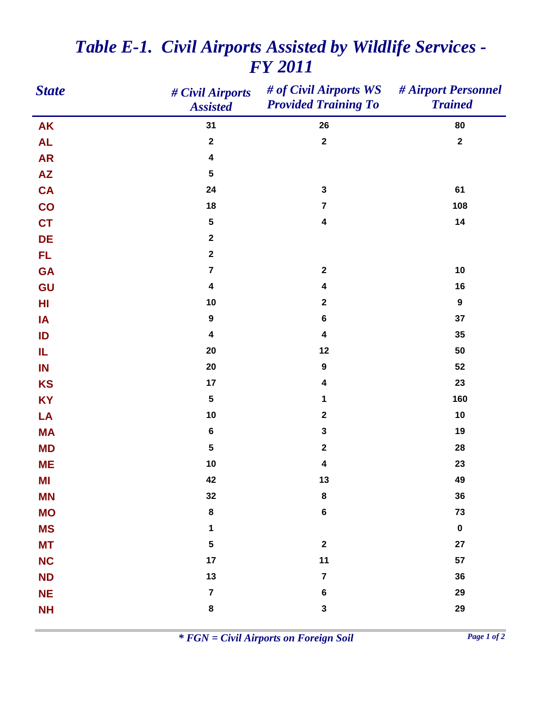| <b>State</b>    | # Civil Airports<br><b>Assisted</b> | # of Civil Airports WS<br><b>Provided Training To</b> | # Airport Personnel<br><b>Trained</b> |
|-----------------|-------------------------------------|-------------------------------------------------------|---------------------------------------|
| <b>AK</b>       | 31                                  | 26                                                    | 80                                    |
| <b>AL</b>       | $\boldsymbol{2}$                    | $\boldsymbol{2}$                                      | $\mathbf 2$                           |
| <b>AR</b>       | $\overline{\mathbf{4}}$             |                                                       |                                       |
| $\overline{AZ}$ | ${\bf 5}$                           |                                                       |                                       |
| <b>CA</b>       | 24                                  | $\mathbf 3$                                           | 61                                    |
| CO              | 18                                  | $\overline{\mathbf{7}}$                               | 108                                   |
| <b>CT</b>       | ${\bf 5}$                           | $\overline{\mathbf{4}}$                               | 14                                    |
| <b>DE</b>       | $\mathbf{2}$                        |                                                       |                                       |
| <b>FL</b>       | $\mathbf{2}$                        |                                                       |                                       |
| <b>GA</b>       | $\overline{7}$                      | $\boldsymbol{2}$                                      | 10                                    |
| GU              | 4                                   | $\overline{\mathbf{4}}$                               | 16                                    |
| H <sub>l</sub>  | 10                                  | $\boldsymbol{2}$                                      | $\boldsymbol{9}$                      |
| IA              | $\boldsymbol{9}$                    | $\bf 6$                                               | 37                                    |
| ID              | 4                                   | $\overline{\mathbf{4}}$                               | 35                                    |
| IL.             | 20                                  | 12                                                    | 50                                    |
| IN              | 20                                  | $\boldsymbol{9}$                                      | 52                                    |
| <b>KS</b>       | 17                                  | $\overline{\mathbf{4}}$                               | 23                                    |
| <b>KY</b>       | ${\bf 5}$                           | 1                                                     | 160                                   |
| LA              | 10                                  | $\boldsymbol{2}$                                      | 10                                    |
| <b>MA</b>       | $\bf 6$                             | $\mathbf 3$                                           | 19                                    |
| <b>MD</b>       | ${\bf 5}$                           | $\boldsymbol{2}$                                      | 28                                    |
| <b>ME</b>       | 10                                  | $\overline{\mathbf{4}}$                               | 23                                    |
| ΜI              | 42                                  | 13                                                    | 49                                    |
| <b>MN</b>       | 32                                  | $\bf8$                                                | 36                                    |
| <b>MO</b>       | 8                                   | $\bf 6$                                               | 73                                    |
| <b>MS</b>       | 1                                   |                                                       | $\pmb{0}$                             |
| <b>MT</b>       | ${\bf 5}$                           | $\boldsymbol{2}$                                      | 27                                    |
| <b>NC</b>       | 17                                  | $11$                                                  | 57                                    |
| <b>ND</b>       | 13                                  | $\overline{\mathbf{7}}$                               | 36                                    |
| <b>NE</b>       | $\overline{\mathbf{7}}$             | $\bf 6$                                               | 29                                    |
| <b>NH</b>       | 8                                   | $\mathbf 3$                                           | 29                                    |

## *Table E-1. Civil Airports Assisted by Wildlife Services - FY 2011*

*\* FGN = Civil Airports on Foreign Soil Page 1 of 2*